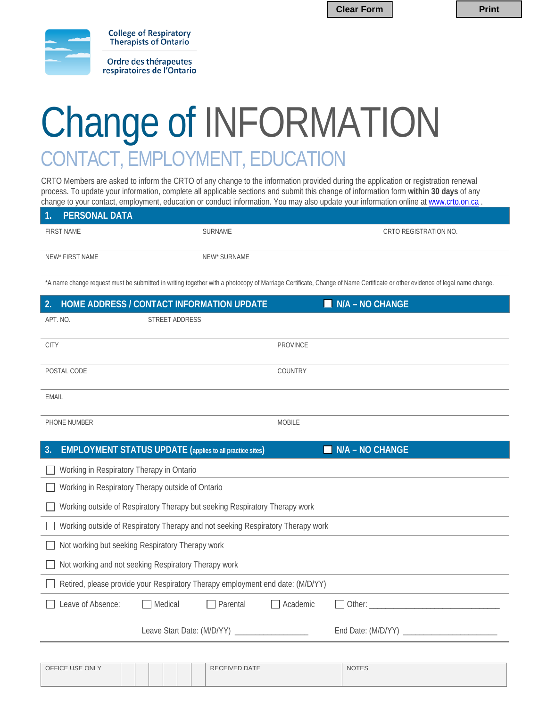**Clear Form**  $\vert$  **Print** 



Ordre des thérapeutes respiratoires de l'Ontario

**College of Respiratory** Therapists of Ontario

## Change of INFORMATION CONTACT, EMPLOYMENT, EDUCATION

CRTO Members are asked to inform the CRTO of any change to the information provided during the application or registration renewal process. To update your information, complete all applicable sections and submit this change of information form **within 30 days** of any change to your contact, employment, education or conduct information. You may also update your information online at www.crto.on.ca

| 1. PERSONAL DATA  |              |                       |
|-------------------|--------------|-----------------------|
| <b>FIRST NAME</b> | SURNAME      | CRTO REGISTRATION NO. |
|                   |              |                       |
| NEW* FIRST NAME   | NEW* SURNAME |                       |

\*A name change request must be submitted in writing together with a photocopy of Marriage Certificate, Change of Name Certificate or other evidence of legal name change.

| HOME ADDRESS / CONTACT INFORMATION UPDATE<br>2.                                 | $N/A - NO CHANGE$ |  |  |  |  |  |  |
|---------------------------------------------------------------------------------|-------------------|--|--|--|--|--|--|
| APT. NO.<br><b>STREET ADDRESS</b>                                               |                   |  |  |  |  |  |  |
| <b>CITY</b>                                                                     | <b>PROVINCE</b>   |  |  |  |  |  |  |
| POSTAL CODE                                                                     | COUNTRY           |  |  |  |  |  |  |
| <b>EMAIL</b>                                                                    |                   |  |  |  |  |  |  |
| PHONE NUMBER                                                                    | <b>MOBILE</b>     |  |  |  |  |  |  |
| <b>EMPLOYMENT STATUS UPDATE</b> (applies to all practice sites)<br>3.           | $N/A - NO CHANGE$ |  |  |  |  |  |  |
| Working in Respiratory Therapy in Ontario                                       |                   |  |  |  |  |  |  |
| Working in Respiratory Therapy outside of Ontario                               |                   |  |  |  |  |  |  |
| Working outside of Respiratory Therapy but seeking Respiratory Therapy work     |                   |  |  |  |  |  |  |
| Working outside of Respiratory Therapy and not seeking Respiratory Therapy work |                   |  |  |  |  |  |  |
| Not working but seeking Respiratory Therapy work                                |                   |  |  |  |  |  |  |
| Not working and not seeking Respiratory Therapy work                            |                   |  |  |  |  |  |  |
| Retired, please provide your Respiratory Therapy employment end date: (M/D/YY)  |                   |  |  |  |  |  |  |
| Leave of Absence:<br>Medical<br>Parental                                        | Academic          |  |  |  |  |  |  |
| Leave Start Date: (M/D/YY) ___________________                                  |                   |  |  |  |  |  |  |
|                                                                                 |                   |  |  |  |  |  |  |

| OFFICE USE ONLY |  |  | <b>RECEIVED DATE</b> | <b>NOTES</b> |
|-----------------|--|--|----------------------|--------------|
|                 |  |  |                      |              |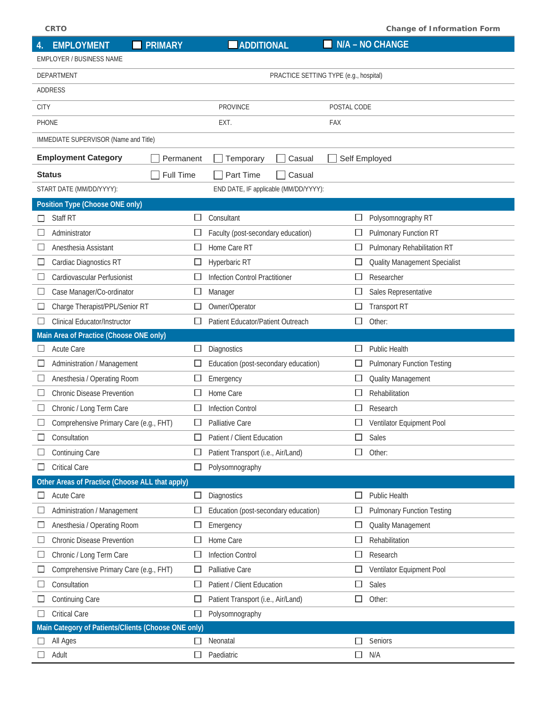| <b>CRTO</b><br><b>Change of Information Form</b> |                                                     |                          |                                       |                                        |             |                                      |  |
|--------------------------------------------------|-----------------------------------------------------|--------------------------|---------------------------------------|----------------------------------------|-------------|--------------------------------------|--|
| 4.                                               | <b>EMPLOYMENT</b>                                   | <b>PRIMARY</b>           | <b>ADDITIONAL</b>                     |                                        |             | N/A - NO CHANGE                      |  |
|                                                  | EMPLOYER / BUSINESS NAME                            |                          |                                       |                                        |             |                                      |  |
|                                                  | DEPARTMENT                                          |                          |                                       | PRACTICE SETTING TYPE (e.g., hospital) |             |                                      |  |
|                                                  | ADDRESS                                             |                          |                                       |                                        |             |                                      |  |
| <b>CITY</b>                                      |                                                     |                          | <b>PROVINCE</b>                       |                                        | POSTAL CODE |                                      |  |
| <b>PHONE</b>                                     |                                                     |                          | EXT.                                  |                                        | FAX         |                                      |  |
|                                                  | IMMEDIATE SUPERVISOR (Name and Title)               |                          |                                       |                                        |             |                                      |  |
|                                                  | <b>Employment Category</b>                          | Permanent                | Temporary                             | Casual                                 |             | Self Employed                        |  |
|                                                  | <b>Status</b>                                       | Full Time                | Part Time                             | Casual                                 |             |                                      |  |
|                                                  | START DATE (MM/DD/YYYY):                            |                          | END DATE, IF applicable (MM/DD/YYYY): |                                        |             |                                      |  |
|                                                  | Position Type (Choose ONE only)                     |                          |                                       |                                        |             |                                      |  |
|                                                  | Staff RT                                            |                          | Consultant                            |                                        | $\Box$      | Polysomnography RT                   |  |
|                                                  | Administrator                                       |                          | Faculty (post-secondary education)    |                                        | ப           | Pulmonary Function RT                |  |
|                                                  | Anesthesia Assistant                                |                          | Home Care RT                          |                                        | ப           | Pulmonary Rehabilitation RT          |  |
| ப                                                | Cardiac Diagnostics RT                              |                          | Hyperbaric RT                         |                                        | $\Box$      | <b>Quality Management Specialist</b> |  |
|                                                  | Cardiovascular Perfusionist                         |                          | Infection Control Practitioner        |                                        | $\Box$      | Researcher                           |  |
| ⊔                                                | Case Manager/Co-ordinator                           |                          | Manager                               |                                        | $\Box$      | Sales Representative                 |  |
| ப                                                | Charge Therapist/PPL/Senior RT                      |                          | Owner/Operator                        |                                        | $\Box$      | <b>Transport RT</b>                  |  |
| ப                                                | Clinical Educator/Instructor                        |                          | Patient Educator/Patient Outreach     |                                        | □           | Other:                               |  |
|                                                  | Main Area of Practice (Choose ONE only)             |                          |                                       |                                        |             |                                      |  |
|                                                  | <b>Acute Care</b>                                   |                          | Diagnostics                           |                                        | ⊔           | <b>Public Health</b>                 |  |
| ப                                                | Administration / Management                         |                          | Education (post-secondary education)  |                                        | ப           | <b>Pulmonary Function Testing</b>    |  |
|                                                  | Anesthesia / Operating Room                         |                          | Emergency                             |                                        | ப           | <b>Quality Management</b>            |  |
| ⊔                                                | <b>Chronic Disease Prevention</b>                   |                          | Home Care                             |                                        | $\Box$      | Rehabilitation                       |  |
|                                                  | Chronic / Long Term Care                            |                          | <b>Infection Control</b>              |                                        |             | Research                             |  |
|                                                  | Comprehensive Primary Care (e.g., FHT)              | □                        | Palliative Care                       |                                        | □           | Ventilator Equipment Pool            |  |
|                                                  | Consultation                                        |                          | Patient / Client Education            |                                        | $\Box$      | Sales                                |  |
|                                                  | Continuing Care                                     |                          | Patient Transport (i.e., Air/Land)    |                                        | □           | Other:                               |  |
|                                                  | <b>Critical Care</b>                                |                          | Polysomnography                       |                                        |             |                                      |  |
|                                                  | Other Areas of Practice (Choose ALL that apply)     |                          |                                       |                                        |             |                                      |  |
|                                                  | Acute Care                                          | $\Box$                   | Diagnostics                           |                                        |             | Public Health                        |  |
|                                                  | Administration / Management                         |                          | Education (post-secondary education)  |                                        | $\Box$      | <b>Pulmonary Function Testing</b>    |  |
| ப                                                | Anesthesia / Operating Room                         |                          | Emergency                             |                                        | $\Box$      | Quality Management                   |  |
| ⊔                                                | <b>Chronic Disease Prevention</b>                   |                          | Home Care                             |                                        | $\Box$      | Rehabilitation                       |  |
| ப                                                | Chronic / Long Term Care                            |                          | <b>Infection Control</b>              |                                        | ப           | Research                             |  |
| ⊔                                                | Comprehensive Primary Care (e.g., FHT)              | $\overline{\phantom{a}}$ | Palliative Care                       |                                        | □           | Ventilator Equipment Pool            |  |
|                                                  | Consultation                                        |                          | Patient / Client Education            |                                        | $\Box$      | Sales                                |  |
| ப                                                | Continuing Care                                     |                          | Patient Transport (i.e., Air/Land)    |                                        | $\Box$      | Other:                               |  |
|                                                  | <b>Critical Care</b>                                | ⊔                        | Polysomnography                       |                                        |             |                                      |  |
|                                                  | Main Category of Patients/Clients (Choose ONE only) |                          |                                       |                                        |             |                                      |  |
|                                                  | All Ages                                            |                          | Neonatal                              |                                        | $\Box$      | Seniors                              |  |
|                                                  | Adult                                               |                          | Paediatric                            |                                        | $\Box$      | N/A                                  |  |